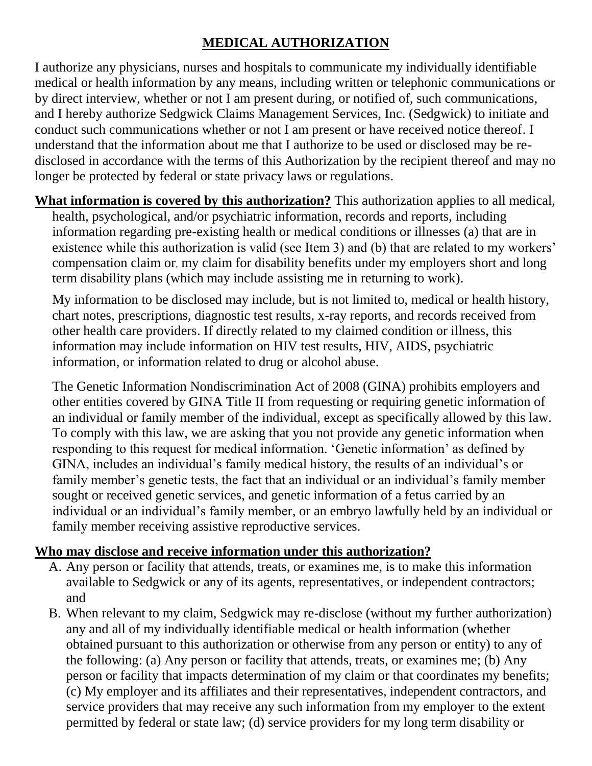## **MEDICAL AUTHORIZATION**

I authorize any physicians, nurses and hospitals to communicate my individually identifiable medical or health information by any means, including written or telephonic communications or by direct interview, whether or not I am present during, or notified of, such communications, and I hereby authorize Sedgwick Claims Management Services, Inc. (Sedgwick) to initiate and conduct such communications whether or not I am present or have received notice thereof. I understand that the information about me that I authorize to be used or disclosed may be redisclosed in accordance with the terms of this Authorization by the recipient thereof and may no longer be protected by federal or state privacy laws or regulations.

**What information is covered by this authorization?** This authorization applies to all medical, health, psychological, and/or psychiatric information, records and reports, including information regarding pre-existing health or medical conditions or illnesses (a) that are in existence while this authorization is valid (see Item 3) and (b) that are related to my workers' compensation claim or, my claim for disability benefits under my employers short and long term disability plans (which may include assisting me in returning to work).

My information to be disclosed may include, but is not limited to, medical or health history, chart notes, prescriptions, diagnostic test results, x-ray reports, and records received from other health care providers. If directly related to my claimed condition or illness, this information may include information on HIV test results, HIV, AIDS, psychiatric information, or information related to drug or alcohol abuse.

The Genetic Information Nondiscrimination Act of 2008 (GINA) prohibits employers and other entities covered by GINA Title II from requesting or requiring genetic information of an individual or family member of the individual, except as specifically allowed by this law. To comply with this law, we are asking that you not provide any genetic information when responding to this request for medical information. 'Genetic information' as defined by GINA, includes an individual's family medical history, the results of an individual's or family member's genetic tests, the fact that an individual or an individual's family member sought or received genetic services, and genetic information of a fetus carried by an individual or an individual's family member, or an embryo lawfully held by an individual or family member receiving assistive reproductive services.

## **Who may disclose and receive information under this authorization?**

- A. Any person or facility that attends, treats, or examines me, is to make this information available to Sedgwick or any of its agents, representatives, or independent contractors; and
- B. When relevant to my claim, Sedgwick may re-disclose (without my further authorization) any and all of my individually identifiable medical or health information (whether obtained pursuant to this authorization or otherwise from any person or entity) to any of the following: (a) Any person or facility that attends, treats, or examines me; (b) Any person or facility that impacts determination of my claim or that coordinates my benefits; (c) My employer and its affiliates and their representatives, independent contractors, and service providers that may receive any such information from my employer to the extent permitted by federal or state law; (d) service providers for my long term disability or